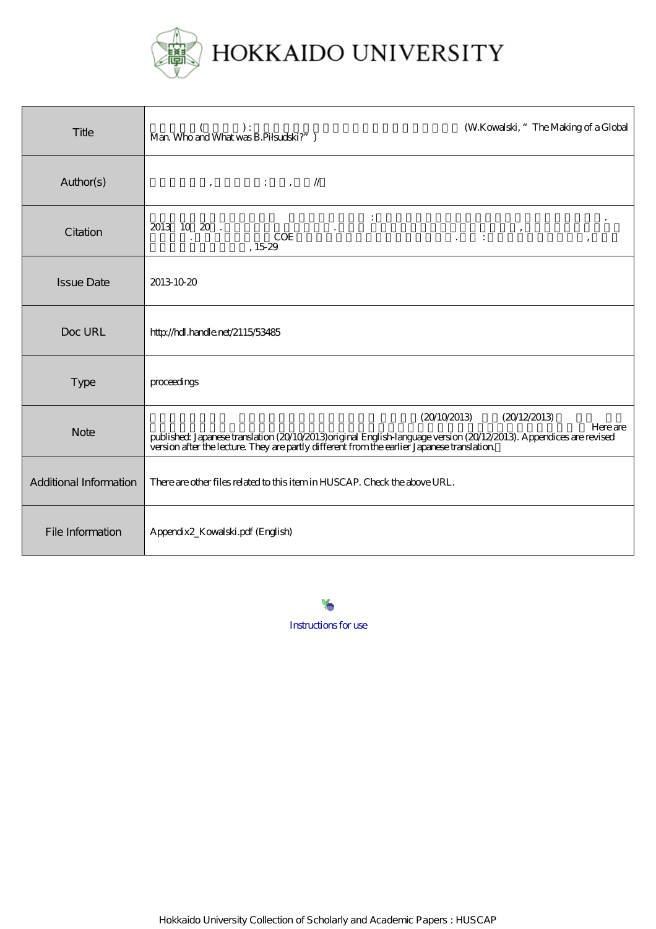

| Title                  | (W.Kowalski, "The Making of a Global<br>$\begin{array}{ll} &&( \quad \quad ) : \quad \quad \text{Man Who and What was B.Pilsukki?' } \end{array}$                                                                                                                    |
|------------------------|----------------------------------------------------------------------------------------------------------------------------------------------------------------------------------------------------------------------------------------------------------------------|
| Author(s)              | $\,$ , ; , //                                                                                                                                                                                                                                                        |
| Citation               | 2013 10 20.<br>$\mathcal{L}^{\text{max}}(\mathcal{L}^{\text{max}})$<br><b>COE</b><br>$\overline{\phantom{a}}$<br>,15.29                                                                                                                                              |
| <b>Issue Date</b>      | 2013-10-20                                                                                                                                                                                                                                                           |
| Doc URL                | http://hdl.handle.net/2115/53485                                                                                                                                                                                                                                     |
| <b>Type</b>            | proceedings                                                                                                                                                                                                                                                          |
| <b>Note</b>            | (20/10/2013)<br>(20/12/2013)<br><b>Here</b> are<br>published Japanese translation (20/10/2013) original English-language version (20/12/2013). Appendices are revised<br>version after the lecture. They are partly different from the earlier Japanese translation. |
| Additional Information | There are other files related to this item in HUSCAP. Check the above URL.                                                                                                                                                                                           |
| File Information       | Appendix2_Kowalski.pdf (English)                                                                                                                                                                                                                                     |

[Instructions for use](https://eprints.lib.hokudai.ac.jp/dspace/about.en.jsp)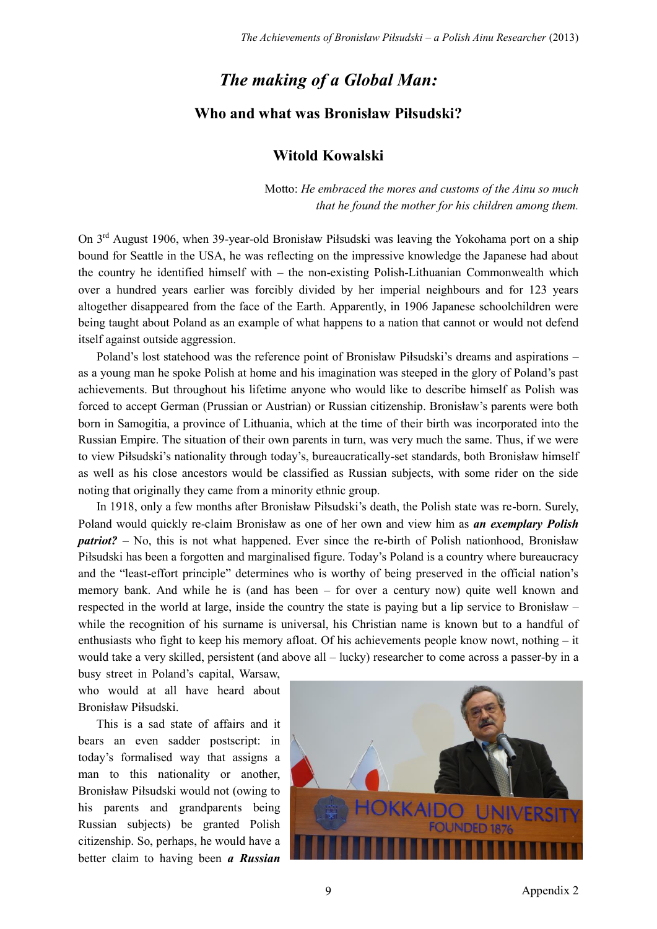## *The making of a Global Man:* **Who and what was Bronisław Piłsudski?**

## **Witold Kowalski**

Motto: *He embraced the mores and customs of the Ainu so much that he found the mother for his children among them.*

On 3rd August 1906, when 39-year-old Bronisław Piłsudski was leaving the Yokohama port on a ship bound for Seattle in the USA, he was reflecting on the impressive knowledge the Japanese had about the country he identified himself with – the non-existing Polish-Lithuanian Commonwealth which over a hundred years earlier was forcibly divided by her imperial neighbours and for 123 years altogether disappeared from the face of the Earth. Apparently, in 1906 Japanese schoolchildren were being taught about Poland as an example of what happens to a nation that cannot or would not defend itself against outside aggression.

Poland's lost statehood was the reference point of Bronisław Piłsudski's dreams and aspirations – as a young man he spoke Polish at home and his imagination was steeped in the glory of Poland's past achievements. But throughout his lifetime anyone who would like to describe himself as Polish was forced to accept German (Prussian or Austrian) or Russian citizenship. Bronisław's parents were both born in Samogitia, a province of Lithuania, which at the time of their birth was incorporated into the Russian Empire. The situation of their own parents in turn, was very much the same. Thus, if we were to view Piłsudski's nationality through today's, bureaucratically-set standards, both Bronisław himself as well as his close ancestors would be classified as Russian subjects, with some rider on the side noting that originally they came from a minority ethnic group.

In 1918, only a few months after Bronisław Piłsudski's death, the Polish state was re-born. Surely, Poland would quickly re-claim Bronisław as one of her own and view him as *an exemplary Polish patriot?* – No, this is not what happened. Ever since the re-birth of Polish nationhood, Bronisław Piłsudski has been a forgotten and marginalised figure. Today's Poland is a country where bureaucracy and the "least-effort principle" determines who is worthy of being preserved in the official nation's memory bank. And while he is (and has been – for over a century now) quite well known and respected in the world at large, inside the country the state is paying but a lip service to Bronisław – while the recognition of his surname is universal, his Christian name is known but to a handful of enthusiasts who fight to keep his memory afloat. Of his achievements people know nowt, nothing – it would take a very skilled, persistent (and above all – lucky) researcher to come across a passer-by in a

busy street in Poland's capital, Warsaw, who would at all have heard about Bronisław Piłsudski.

This is a sad state of affairs and it bears an even sadder postscript: in today's formalised way that assigns a man to this nationality or another, Bronisław Piłsudski would not (owing to his parents and grandparents being Russian subjects) be granted Polish citizenship. So, perhaps, he would have a better claim to having been *a Russian* 

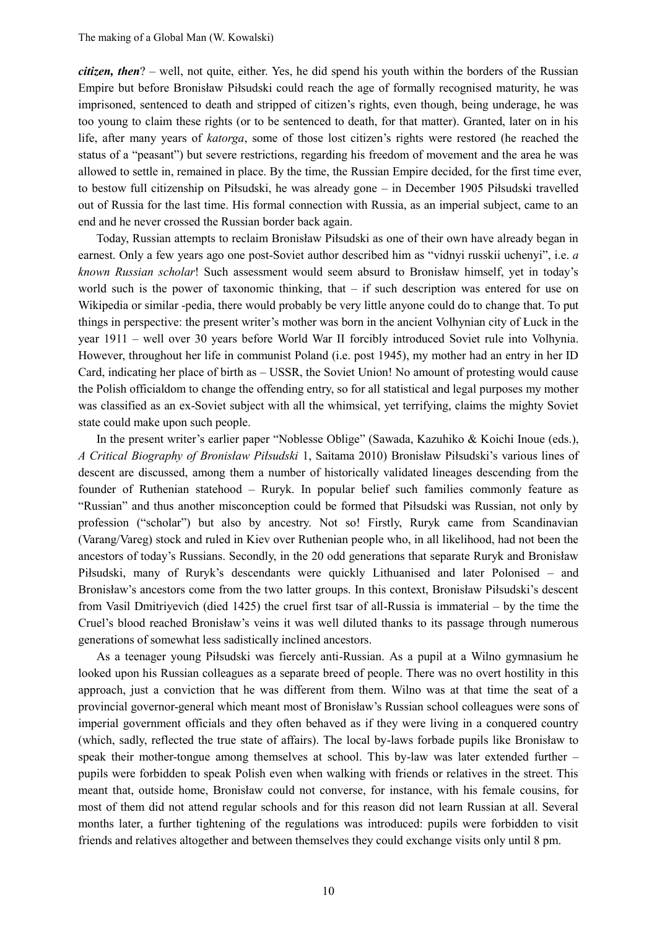*citizen, then*? – well, not quite, either. Yes, he did spend his youth within the borders of the Russian Empire but before Bronisław Piłsudski could reach the age of formally recognised maturity, he was imprisoned, sentenced to death and stripped of citizen's rights, even though, being underage, he was too young to claim these rights (or to be sentenced to death, for that matter). Granted, later on in his life, after many years of *katorga*, some of those lost citizen's rights were restored (he reached the status of a "peasant") but severe restrictions, regarding his freedom of movement and the area he was allowed to settle in, remained in place. By the time, the Russian Empire decided, for the first time ever, to bestow full citizenship on Piłsudski, he was already gone – in December 1905 Piłsudski travelled out of Russia for the last time. His formal connection with Russia, as an imperial subject, came to an end and he never crossed the Russian border back again.

Today, Russian attempts to reclaim Bronisław Piłsudski as one of their own have already began in earnest. Only a few years ago one post-Soviet author described him as "vidnyi russkii uchenyi", i.e. *a known Russian scholar*! Such assessment would seem absurd to Bronisław himself, yet in today's world such is the power of taxonomic thinking, that – if such description was entered for use on Wikipedia or similar -pedia, there would probably be very little anyone could do to change that. To put things in perspective: the present writer's mother was born in the ancient Volhynian city of Łuck in the year 1911 – well over 30 years before World War II forcibly introduced Soviet rule into Volhynia. However, throughout her life in communist Poland (i.e. post 1945), my mother had an entry in her ID Card, indicating her place of birth as – USSR, the Soviet Union! No amount of protesting would cause the Polish officialdom to change the offending entry, so for all statistical and legal purposes my mother was classified as an ex-Soviet subject with all the whimsical, yet terrifying, claims the mighty Soviet state could make upon such people.

In the present writer's earlier paper "Noblesse Oblige" (Sawada, Kazuhiko & Koichi Inoue (eds.), *A Critical Biography of Bronisław Piłsudski* 1, Saitama 2010) Bronisław Piłsudski's various lines of descent are discussed, among them a number of historically validated lineages descending from the founder of Ruthenian statehood – Ruryk. In popular belief such families commonly feature as "Russian" and thus another misconception could be formed that Piłsudski was Russian, not only by profession ("scholar") but also by ancestry. Not so! Firstly, Ruryk came from Scandinavian (Varang/Vareg) stock and ruled in Kiev over Ruthenian people who, in all likelihood, had not been the ancestors of today's Russians. Secondly, in the 20 odd generations that separate Ruryk and Bronisław Piłsudski, many of Ruryk's descendants were quickly Lithuanised and later Polonised – and Bronisław's ancestors come from the two latter groups. In this context, Bronisław Piłsudski's descent from Vasil Dmitriyevich (died 1425) the cruel first tsar of all-Russia is immaterial – by the time the Cruel's blood reached Bronisław's veins it was well diluted thanks to its passage through numerous generations of somewhat less sadistically inclined ancestors.

As a teenager young Piłsudski was fiercely anti-Russian. As a pupil at a Wilno gymnasium he looked upon his Russian colleagues as a separate breed of people. There was no overt hostility in this approach, just a conviction that he was different from them. Wilno was at that time the seat of a provincial governor-general which meant most of Bronisław's Russian school colleagues were sons of imperial government officials and they often behaved as if they were living in a conquered country (which, sadly, reflected the true state of affairs). The local by-laws forbade pupils like Bronisław to speak their mother-tongue among themselves at school. This by-law was later extended further – pupils were forbidden to speak Polish even when walking with friends or relatives in the street. This meant that, outside home, Bronisław could not converse, for instance, with his female cousins, for most of them did not attend regular schools and for this reason did not learn Russian at all. Several months later, a further tightening of the regulations was introduced: pupils were forbidden to visit friends and relatives altogether and between themselves they could exchange visits only until 8 pm.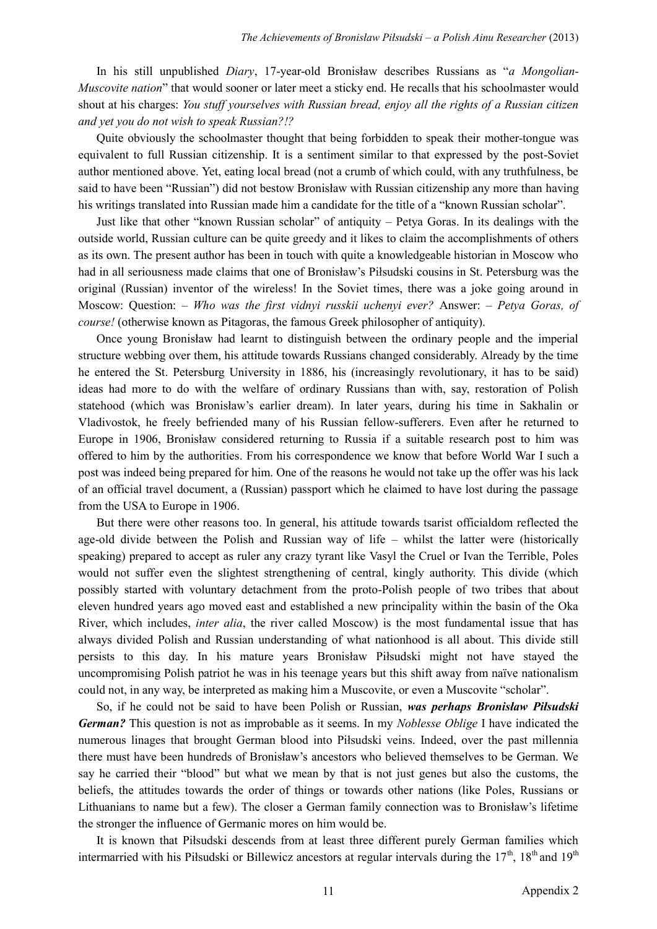In his still unpublished *Diary*, 17-year-old Bronisław describes Russians as "*a Mongolian-Muscovite nation*" that would sooner or later meet a sticky end. He recalls that his schoolmaster would shout at his charges: *You stuff yourselves with Russian bread, enjoy all the rights of a Russian citizen and yet you do not wish to speak Russian?!?*

Quite obviously the schoolmaster thought that being forbidden to speak their mother-tongue was equivalent to full Russian citizenship. It is a sentiment similar to that expressed by the post-Soviet author mentioned above. Yet, eating local bread (not a crumb of which could, with any truthfulness, be said to have been "Russian") did not bestow Bronisław with Russian citizenship any more than having his writings translated into Russian made him a candidate for the title of a "known Russian scholar".

Just like that other "known Russian scholar" of antiquity – Petya Goras. In its dealings with the outside world, Russian culture can be quite greedy and it likes to claim the accomplishments of others as its own. The present author has been in touch with quite a knowledgeable historian in Moscow who had in all seriousness made claims that one of Bronisław's Piłsudski cousins in St. Petersburg was the original (Russian) inventor of the wireless! In the Soviet times, there was a joke going around in Moscow: Question: – *Who was the first vidnyi russkii uchenyi ever?* Answer: – *Petya Goras, of course!* (otherwise known as Pitagoras, the famous Greek philosopher of antiquity).

Once young Bronisław had learnt to distinguish between the ordinary people and the imperial structure webbing over them, his attitude towards Russians changed considerably. Already by the time he entered the St. Petersburg University in 1886, his (increasingly revolutionary, it has to be said) ideas had more to do with the welfare of ordinary Russians than with, say, restoration of Polish statehood (which was Bronisław's earlier dream). In later years, during his time in Sakhalin or Vladivostok, he freely befriended many of his Russian fellow-sufferers. Even after he returned to Europe in 1906, Bronisław considered returning to Russia if a suitable research post to him was offered to him by the authorities. From his correspondence we know that before World War I such a post was indeed being prepared for him. One of the reasons he would not take up the offer was his lack of an official travel document, a (Russian) passport which he claimed to have lost during the passage from the USA to Europe in 1906.

But there were other reasons too. In general, his attitude towards tsarist officialdom reflected the age-old divide between the Polish and Russian way of life – whilst the latter were (historically speaking) prepared to accept as ruler any crazy tyrant like Vasyl the Cruel or Ivan the Terrible, Poles would not suffer even the slightest strengthening of central, kingly authority. This divide (which possibly started with voluntary detachment from the proto-Polish people of two tribes that about eleven hundred years ago moved east and established a new principality within the basin of the Oka River, which includes, *inter alia*, the river called Moscow) is the most fundamental issue that has always divided Polish and Russian understanding of what nationhood is all about. This divide still persists to this day. In his mature years Bronisław Piłsudski might not have stayed the uncompromising Polish patriot he was in his teenage years but this shift away from naïve nationalism could not, in any way, be interpreted as making him a Muscovite, or even a Muscovite "scholar".

So, if he could not be said to have been Polish or Russian, *was perhaps Bronisław Piłsudski German?* This question is not as improbable as it seems. In my *Noblesse Oblige* I have indicated the numerous linages that brought German blood into Piłsudski veins. Indeed, over the past millennia there must have been hundreds of Bronisław's ancestors who believed themselves to be German. We say he carried their "blood" but what we mean by that is not just genes but also the customs, the beliefs, the attitudes towards the order of things or towards other nations (like Poles, Russians or Lithuanians to name but a few). The closer a German family connection was to Bronisław's lifetime the stronger the influence of Germanic mores on him would be.

It is known that Piłsudski descends from at least three different purely German families which intermarried with his Piłsudski or Billewicz ancestors at regular intervals during the  $17<sup>th</sup>$ ,  $18<sup>th</sup>$  and  $19<sup>th</sup>$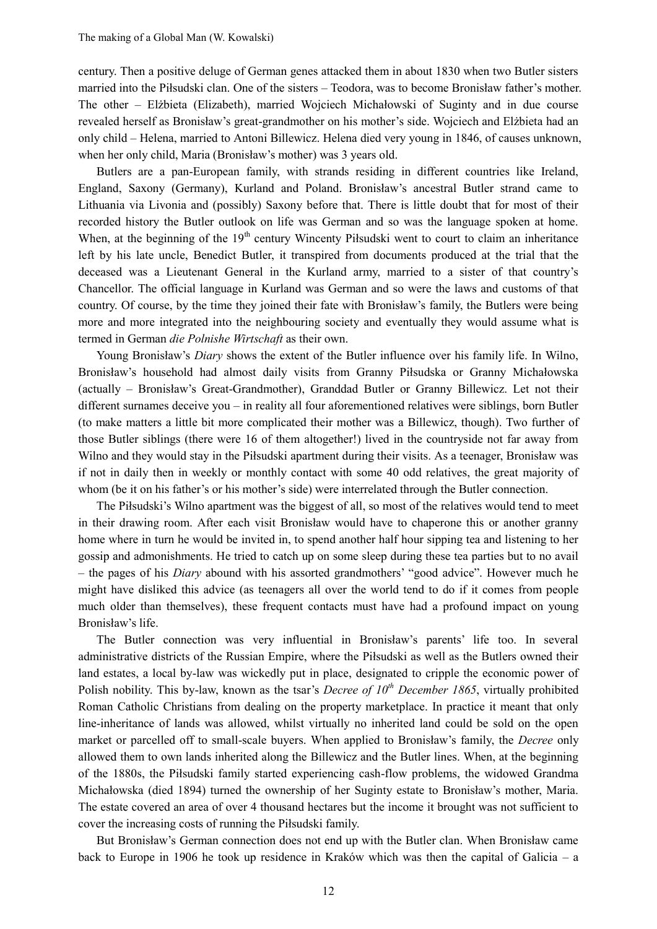century. Then a positive deluge of German genes attacked them in about 1830 when two Butler sisters married into the Piłsudski clan. One of the sisters – Teodora, was to become Bronisław father's mother. The other – Elżbieta (Elizabeth), married Wojciech Michałowski of Suginty and in due course revealed herself as Bronisław's great-grandmother on his mother's side. Wojciech and Elżbieta had an only child – Helena, married to Antoni Billewicz. Helena died very young in 1846, of causes unknown, when her only child, Maria (Bronisław's mother) was 3 years old.

Butlers are a pan-European family, with strands residing in different countries like Ireland, England, Saxony (Germany), Kurland and Poland. Bronisław's ancestral Butler strand came to Lithuania via Livonia and (possibly) Saxony before that. There is little doubt that for most of their recorded history the Butler outlook on life was German and so was the language spoken at home. When, at the beginning of the  $19<sup>th</sup>$  century Wincenty Piłsudski went to court to claim an inheritance left by his late uncle, Benedict Butler, it transpired from documents produced at the trial that the deceased was a Lieutenant General in the Kurland army, married to a sister of that country's Chancellor. The official language in Kurland was German and so were the laws and customs of that country. Of course, by the time they joined their fate with Bronisław's family, the Butlers were being more and more integrated into the neighbouring society and eventually they would assume what is termed in German *die Polnishe Wirtschaft* as their own.

Young Bronisław's *Diary* shows the extent of the Butler influence over his family life. In Wilno, Bronisław's household had almost daily visits from Granny Piłsudska or Granny Michałowska (actually – Bronisław's Great-Grandmother), Granddad Butler or Granny Billewicz. Let not their different surnames deceive you – in reality all four aforementioned relatives were siblings, born Butler (to make matters a little bit more complicated their mother was a Billewicz, though). Two further of those Butler siblings (there were 16 of them altogether!) lived in the countryside not far away from Wilno and they would stay in the Piłsudski apartment during their visits. As a teenager, Bronisław was if not in daily then in weekly or monthly contact with some 40 odd relatives, the great majority of whom (be it on his father's or his mother's side) were interrelated through the Butler connection.

The Piłsudski's Wilno apartment was the biggest of all, so most of the relatives would tend to meet in their drawing room. After each visit Bronisław would have to chaperone this or another granny home where in turn he would be invited in, to spend another half hour sipping tea and listening to her gossip and admonishments. He tried to catch up on some sleep during these tea parties but to no avail – the pages of his *Diary* abound with his assorted grandmothers' "good advice". However much he might have disliked this advice (as teenagers all over the world tend to do if it comes from people much older than themselves), these frequent contacts must have had a profound impact on young Bronisław's life.

The Butler connection was very influential in Bronisław's parents' life too. In several administrative districts of the Russian Empire, where the Piłsudski as well as the Butlers owned their land estates, a local by-law was wickedly put in place, designated to cripple the economic power of Polish nobility. This by-law, known as the tsar's *Decree of 10th December 1865*, virtually prohibited Roman Catholic Christians from dealing on the property marketplace. In practice it meant that only line-inheritance of lands was allowed, whilst virtually no inherited land could be sold on the open market or parcelled off to small-scale buyers. When applied to Bronisław's family, the *Decree* only allowed them to own lands inherited along the Billewicz and the Butler lines. When, at the beginning of the 1880s, the Piłsudski family started experiencing cash-flow problems, the widowed Grandma Michałowska (died 1894) turned the ownership of her Suginty estate to Bronisław's mother, Maria. The estate covered an area of over 4 thousand hectares but the income it brought was not sufficient to cover the increasing costs of running the Piłsudski family.

But Bronisław's German connection does not end up with the Butler clan. When Bronisław came back to Europe in 1906 he took up residence in Kraków which was then the capital of Galicia – a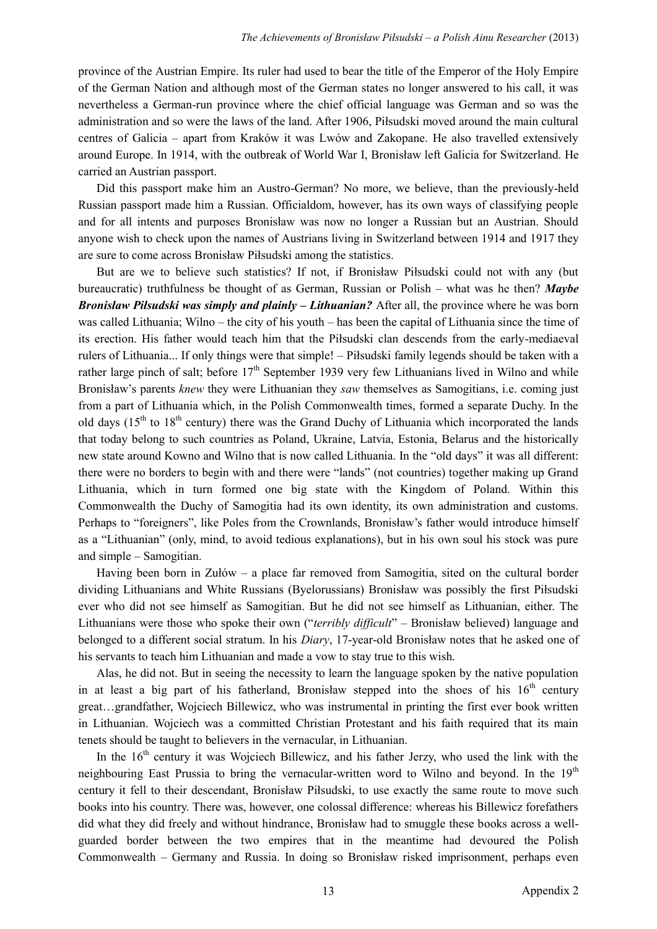province of the Austrian Empire. Its ruler had used to bear the title of the Emperor of the Holy Empire of the German Nation and although most of the German states no longer answered to his call, it was nevertheless a German-run province where the chief official language was German and so was the administration and so were the laws of the land. After 1906, Piłsudski moved around the main cultural centres of Galicia – apart from Kraków it was Lwów and Zakopane. He also travelled extensively around Europe. In 1914, with the outbreak of World War I, Bronisław left Galicia for Switzerland. He carried an Austrian passport.

Did this passport make him an Austro-German? No more, we believe, than the previously-held Russian passport made him a Russian. Officialdom, however, has its own ways of classifying people and for all intents and purposes Bronisław was now no longer a Russian but an Austrian. Should anyone wish to check upon the names of Austrians living in Switzerland between 1914 and 1917 they are sure to come across Bronisław Piłsudski among the statistics.

But are we to believe such statistics? If not, if Bronisław Piłsudski could not with any (but bureaucratic) truthfulness be thought of as German, Russian or Polish – what was he then? *Maybe Bronisław Piłsudski was simply and plainly – Lithuanian?* After all, the province where he was born was called Lithuania; Wilno – the city of his youth – has been the capital of Lithuania since the time of its erection. His father would teach him that the Piłsudski clan descends from the early-mediaeval rulers of Lithuania... If only things were that simple! – Piłsudski family legends should be taken with a rather large pinch of salt; before  $17<sup>th</sup>$  September 1939 very few Lithuanians lived in Wilno and while Bronisław's parents *knew* they were Lithuanian they *saw* themselves as Samogitians, i.e. coming just from a part of Lithuania which, in the Polish Commonwealth times, formed a separate Duchy. In the old days  $(15<sup>th</sup>$  to  $18<sup>th</sup>$  century) there was the Grand Duchy of Lithuania which incorporated the lands that today belong to such countries as Poland, Ukraine, Latvia, Estonia, Belarus and the historically new state around Kowno and Wilno that is now called Lithuania. In the "old days" it was all different: there were no borders to begin with and there were "lands" (not countries) together making up Grand Lithuania, which in turn formed one big state with the Kingdom of Poland. Within this Commonwealth the Duchy of Samogitia had its own identity, its own administration and customs. Perhaps to "foreigners", like Poles from the Crownlands, Bronisław's father would introduce himself as a "Lithuanian" (only, mind, to avoid tedious explanations), but in his own soul his stock was pure and simple – Samogitian.

Having been born in Zułów – a place far removed from Samogitia, sited on the cultural border dividing Lithuanians and White Russians (Byelorussians) Bronisław was possibly the first Piłsudski ever who did not see himself as Samogitian. But he did not see himself as Lithuanian, either. The Lithuanians were those who spoke their own ("*terribly difficult*" – Bronisław believed) language and belonged to a different social stratum. In his *Diary*, 17-year-old Bronisław notes that he asked one of his servants to teach him Lithuanian and made a vow to stay true to this wish.

Alas, he did not. But in seeing the necessity to learn the language spoken by the native population in at least a big part of his fatherland, Bronisław stepped into the shoes of his  $16<sup>th</sup>$  century great…grandfather, Wojciech Billewicz, who was instrumental in printing the first ever book written in Lithuanian. Wojciech was a committed Christian Protestant and his faith required that its main tenets should be taught to believers in the vernacular, in Lithuanian.

In the  $16<sup>th</sup>$  century it was Wojciech Billewicz, and his father Jerzy, who used the link with the neighbouring East Prussia to bring the vernacular-written word to Wilno and beyond. In the  $19<sup>th</sup>$ century it fell to their descendant, Bronisław Piłsudski, to use exactly the same route to move such books into his country. There was, however, one colossal difference: whereas his Billewicz forefathers did what they did freely and without hindrance, Bronisław had to smuggle these books across a wellguarded border between the two empires that in the meantime had devoured the Polish Commonwealth – Germany and Russia. In doing so Bronisław risked imprisonment, perhaps even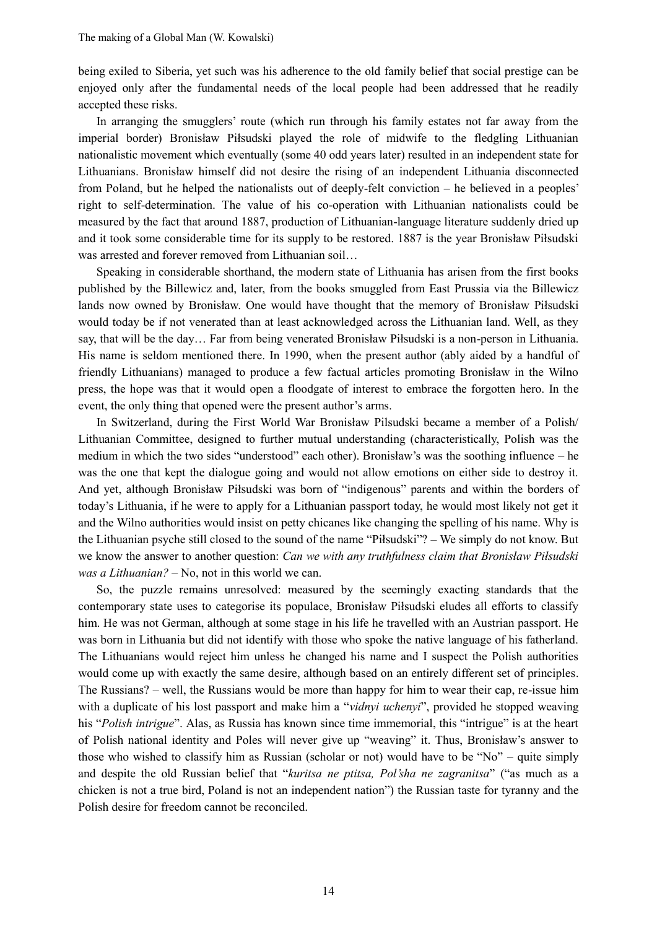being exiled to Siberia, yet such was his adherence to the old family belief that social prestige can be enjoyed only after the fundamental needs of the local people had been addressed that he readily accepted these risks.

In arranging the smugglers' route (which run through his family estates not far away from the imperial border) Bronisław Piłsudski played the role of midwife to the fledgling Lithuanian nationalistic movement which eventually (some 40 odd years later) resulted in an independent state for Lithuanians. Bronisław himself did not desire the rising of an independent Lithuania disconnected from Poland, but he helped the nationalists out of deeply-felt conviction – he believed in a peoples' right to self-determination. The value of his co-operation with Lithuanian nationalists could be measured by the fact that around 1887, production of Lithuanian-language literature suddenly dried up and it took some considerable time for its supply to be restored. 1887 is the year Bronisław Piłsudski was arrested and forever removed from Lithuanian soil…

Speaking in considerable shorthand, the modern state of Lithuania has arisen from the first books published by the Billewicz and, later, from the books smuggled from East Prussia via the Billewicz lands now owned by Bronisław. One would have thought that the memory of Bronisław Piłsudski would today be if not venerated than at least acknowledged across the Lithuanian land. Well, as they say, that will be the day… Far from being venerated Bronisław Piłsudski is a non-person in Lithuania. His name is seldom mentioned there. In 1990, when the present author (ably aided by a handful of friendly Lithuanians) managed to produce a few factual articles promoting Bronisław in the Wilno press, the hope was that it would open a floodgate of interest to embrace the forgotten hero. In the event, the only thing that opened were the present author's arms.

In Switzerland, during the First World War Bronisław Pilsudski became a member of a Polish/ Lithuanian Committee, designed to further mutual understanding (characteristically, Polish was the medium in which the two sides "understood" each other). Bronisław's was the soothing influence – he was the one that kept the dialogue going and would not allow emotions on either side to destroy it. And yet, although Bronisław Piłsudski was born of "indigenous" parents and within the borders of today's Lithuania, if he were to apply for a Lithuanian passport today, he would most likely not get it and the Wilno authorities would insist on petty chicanes like changing the spelling of his name. Why is the Lithuanian psyche still closed to the sound of the name "Piłsudski"? – We simply do not know. But we know the answer to another question: *Can we with any truthfulness claim that Bronisław Piłsudski was a Lithuanian?* – No, not in this world we can.

So, the puzzle remains unresolved: measured by the seemingly exacting standards that the contemporary state uses to categorise its populace, Bronisław Piłsudski eludes all efforts to classify him. He was not German, although at some stage in his life he travelled with an Austrian passport. He was born in Lithuania but did not identify with those who spoke the native language of his fatherland. The Lithuanians would reject him unless he changed his name and I suspect the Polish authorities would come up with exactly the same desire, although based on an entirely different set of principles. The Russians? – well, the Russians would be more than happy for him to wear their cap, re-issue him with a duplicate of his lost passport and make him a "*vidnyi uchenyi*", provided he stopped weaving his "*Polish intrigue*". Alas, as Russia has known since time immemorial, this "intrigue" is at the heart of Polish national identity and Poles will never give up "weaving" it. Thus, Bronisław's answer to those who wished to classify him as Russian (scholar or not) would have to be "No" – quite simply and despite the old Russian belief that "*kuritsa ne ptitsa, Pol'sha ne zagranitsa*" ("as much as a chicken is not a true bird, Poland is not an independent nation") the Russian taste for tyranny and the Polish desire for freedom cannot be reconciled.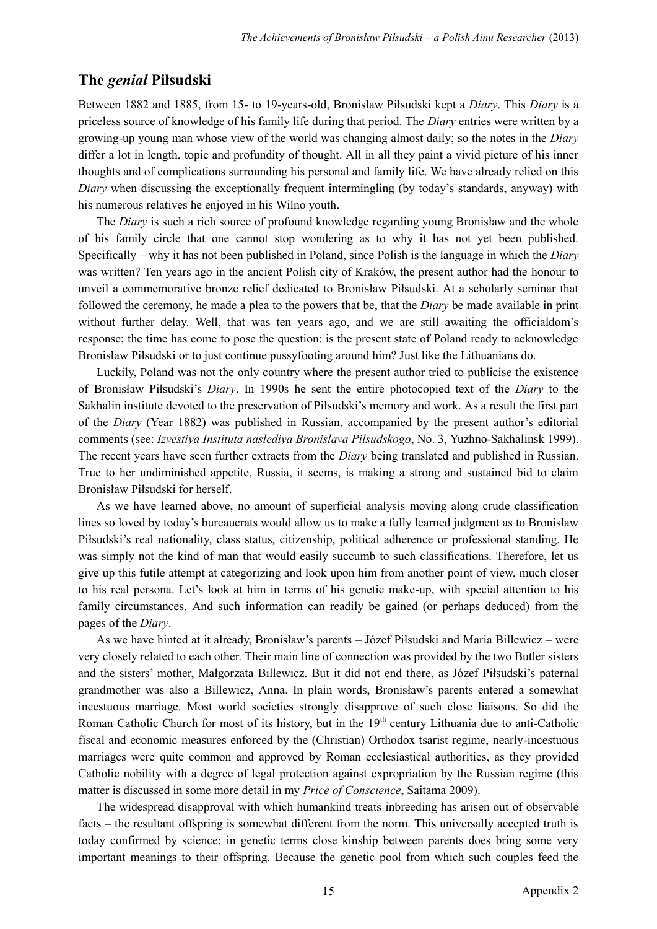## **The** *genial* **Piłsudski**

Between 1882 and 1885, from 15- to 19-years-old, Bronisław Piłsudski kept a *Diary*. This *Diary* is a priceless source of knowledge of his family life during that period. The *Diary* entries were written by a growing-up young man whose view of the world was changing almost daily; so the notes in the *Diary* differ a lot in length, topic and profundity of thought. All in all they paint a vivid picture of his inner thoughts and of complications surrounding his personal and family life. We have already relied on this *Diary* when discussing the exceptionally frequent intermingling (by today's standards, anyway) with his numerous relatives he enjoyed in his Wilno youth.

The *Diary* is such a rich source of profound knowledge regarding young Bronisław and the whole of his family circle that one cannot stop wondering as to why it has not yet been published. Specifically – why it has not been published in Poland, since Polish is the language in which the *Diary* was written? Ten years ago in the ancient Polish city of Kraków, the present author had the honour to unveil a commemorative bronze relief dedicated to Bronisław Piłsudski. At a scholarly seminar that followed the ceremony, he made a plea to the powers that be, that the *Diary* be made available in print without further delay. Well, that was ten years ago, and we are still awaiting the officialdom's response; the time has come to pose the question: is the present state of Poland ready to acknowledge Bronisław Piłsudski or to just continue pussyfooting around him? Just like the Lithuanians do.

Luckily, Poland was not the only country where the present author tried to publicise the existence of Bronisław Piłsudski's *Diary*. In 1990s he sent the entire photocopied text of the *Diary* to the Sakhalin institute devoted to the preservation of Piłsudski's memory and work. As a result the first part of the *Diary* (Year 1882) was published in Russian, accompanied by the present author's editorial comments (see: *Izvestiya Instituta naslediya Bronislava Pilsudskogo*, No. 3, Yuzhno-Sakhalinsk 1999). The recent years have seen further extracts from the *Diary* being translated and published in Russian. True to her undiminished appetite, Russia, it seems, is making a strong and sustained bid to claim Bronisław Piłsudski for herself.

As we have learned above, no amount of superficial analysis moving along crude classification lines so loved by today's bureaucrats would allow us to make a fully learned judgment as to Bronisław Piłsudski's real nationality, class status, citizenship, political adherence or professional standing. He was simply not the kind of man that would easily succumb to such classifications. Therefore, let us give up this futile attempt at categorizing and look upon him from another point of view, much closer to his real persona. Let's look at him in terms of his genetic make-up, with special attention to his family circumstances. And such information can readily be gained (or perhaps deduced) from the pages of the *Diary*.

As we have hinted at it already, Bronisław's parents – Józef Piłsudski and Maria Billewicz – were very closely related to each other. Their main line of connection was provided by the two Butler sisters and the sisters' mother, Małgorzata Billewicz. But it did not end there, as Józef Piłsudski's paternal grandmother was also a Billewicz, Anna. In plain words, Bronisław's parents entered a somewhat incestuous marriage. Most world societies strongly disapprove of such close liaisons. So did the Roman Catholic Church for most of its history, but in the 19<sup>th</sup> century Lithuania due to anti-Catholic fiscal and economic measures enforced by the (Christian) Orthodox tsarist regime, nearly-incestuous marriages were quite common and approved by Roman ecclesiastical authorities, as they provided Catholic nobility with a degree of legal protection against expropriation by the Russian regime (this matter is discussed in some more detail in my *Price of Conscience*, Saitama 2009).

The widespread disapproval with which humankind treats inbreeding has arisen out of observable facts – the resultant offspring is somewhat different from the norm. This universally accepted truth is today confirmed by science: in genetic terms close kinship between parents does bring some very important meanings to their offspring. Because the genetic pool from which such couples feed the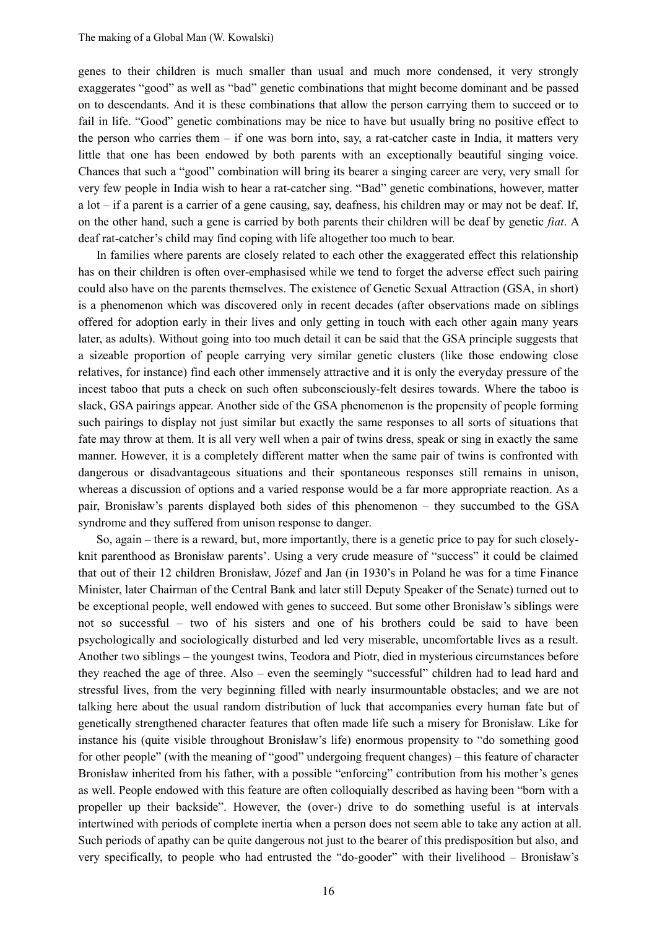genes to their children is much smaller than usual and much more condensed, it very strongly exaggerates "good" as well as "bad" genetic combinations that might become dominant and be passed on to descendants. And it is these combinations that allow the person carrying them to succeed or to fail in life. "Good" genetic combinations may be nice to have but usually bring no positive effect to the person who carries them – if one was born into, say, a rat-catcher caste in India, it matters very little that one has been endowed by both parents with an exceptionally beautiful singing voice. Chances that such a "good" combination will bring its bearer a singing career are very, very small for very few people in India wish to hear a rat-catcher sing. "Bad" genetic combinations, however, matter a lot – if a parent is a carrier of a gene causing, say, deafness, his children may or may not be deaf. If, on the other hand, such a gene is carried by both parents their children will be deaf by genetic *fiat*. A deaf rat-catcher's child may find coping with life altogether too much to bear.

In families where parents are closely related to each other the exaggerated effect this relationship has on their children is often over-emphasised while we tend to forget the adverse effect such pairing could also have on the parents themselves. The existence of Genetic Sexual Attraction (GSA, in short) is a phenomenon which was discovered only in recent decades (after observations made on siblings offered for adoption early in their lives and only getting in touch with each other again many years later, as adults). Without going into too much detail it can be said that the GSA principle suggests that a sizeable proportion of people carrying very similar genetic clusters (like those endowing close relatives, for instance) find each other immensely attractive and it is only the everyday pressure of the incest taboo that puts a check on such often subconsciously-felt desires towards. Where the taboo is slack, GSA pairings appear. Another side of the GSA phenomenon is the propensity of people forming such pairings to display not just similar but exactly the same responses to all sorts of situations that fate may throw at them. It is all very well when a pair of twins dress, speak or sing in exactly the same manner. However, it is a completely different matter when the same pair of twins is confronted with dangerous or disadvantageous situations and their spontaneous responses still remains in unison, whereas a discussion of options and a varied response would be a far more appropriate reaction. As a pair, Bronisław's parents displayed both sides of this phenomenon – they succumbed to the GSA syndrome and they suffered from unison response to danger.

So, again – there is a reward, but, more importantly, there is a genetic price to pay for such closelyknit parenthood as Bronisław parents'. Using a very crude measure of "success" it could be claimed that out of their 12 children Bronisław, Józef and Jan (in 1930's in Poland he was for a time Finance Minister, later Chairman of the Central Bank and later still Deputy Speaker of the Senate) turned out to be exceptional people, well endowed with genes to succeed. But some other Bronisław's siblings were not so successful – two of his sisters and one of his brothers could be said to have been psychologically and sociologically disturbed and led very miserable, uncomfortable lives as a result. Another two siblings – the youngest twins, Teodora and Piotr, died in mysterious circumstances before they reached the age of three. Also – even the seemingly "successful" children had to lead hard and stressful lives, from the very beginning filled with nearly insurmountable obstacles; and we are not talking here about the usual random distribution of luck that accompanies every human fate but of genetically strengthened character features that often made life such a misery for Bronisław. Like for instance his (quite visible throughout Bronisław's life) enormous propensity to "do something good for other people" (with the meaning of "good" undergoing frequent changes) – this feature of character Bronisław inherited from his father, with a possible "enforcing" contribution from his mother's genes as well. People endowed with this feature are often colloquially described as having been "born with a propeller up their backside". However, the (over-) drive to do something useful is at intervals intertwined with periods of complete inertia when a person does not seem able to take any action at all. Such periods of apathy can be quite dangerous not just to the bearer of this predisposition but also, and very specifically, to people who had entrusted the "do-gooder" with their livelihood – Bronisław's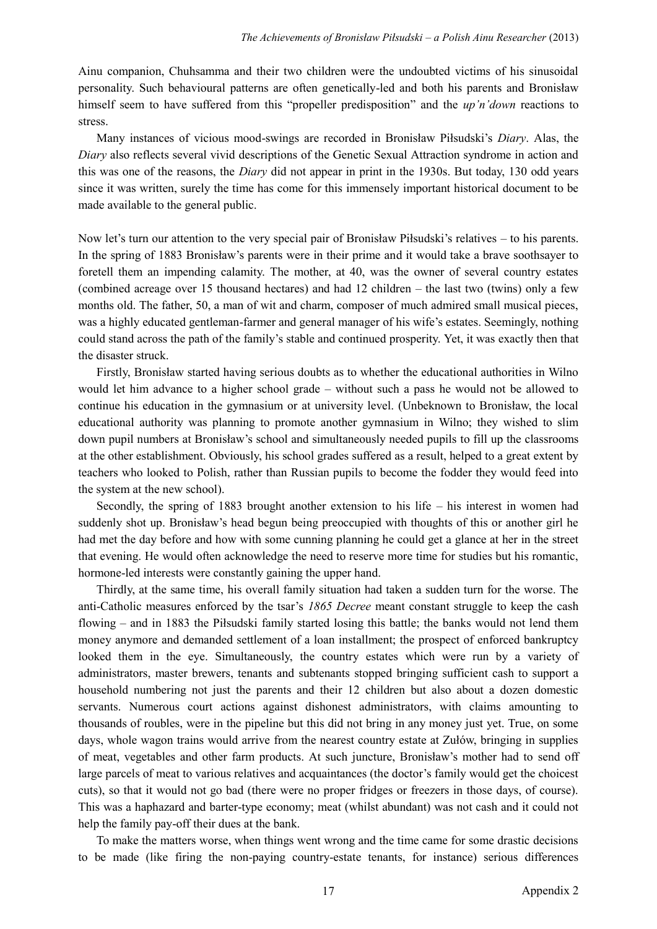Ainu companion, Chuhsamma and their two children were the undoubted victims of his sinusoidal personality. Such behavioural patterns are often genetically-led and both his parents and Bronisław himself seem to have suffered from this "propeller predisposition" and the *up'n'down* reactions to stress.

Many instances of vicious mood-swings are recorded in Bronisław Piłsudski's *Diary*. Alas, the *Diary* also reflects several vivid descriptions of the Genetic Sexual Attraction syndrome in action and this was one of the reasons, the *Diary* did not appear in print in the 1930s. But today, 130 odd years since it was written, surely the time has come for this immensely important historical document to be made available to the general public.

Now let's turn our attention to the very special pair of Bronisław Piłsudski's relatives – to his parents. In the spring of 1883 Bronisław's parents were in their prime and it would take a brave soothsayer to foretell them an impending calamity. The mother, at 40, was the owner of several country estates (combined acreage over 15 thousand hectares) and had 12 children – the last two (twins) only a few months old. The father, 50, a man of wit and charm, composer of much admired small musical pieces, was a highly educated gentleman-farmer and general manager of his wife's estates. Seemingly, nothing could stand across the path of the family's stable and continued prosperity. Yet, it was exactly then that the disaster struck.

Firstly, Bronisław started having serious doubts as to whether the educational authorities in Wilno would let him advance to a higher school grade – without such a pass he would not be allowed to continue his education in the gymnasium or at university level. (Unbeknown to Bronisław, the local educational authority was planning to promote another gymnasium in Wilno; they wished to slim down pupil numbers at Bronisław's school and simultaneously needed pupils to fill up the classrooms at the other establishment. Obviously, his school grades suffered as a result, helped to a great extent by teachers who looked to Polish, rather than Russian pupils to become the fodder they would feed into the system at the new school).

Secondly, the spring of 1883 brought another extension to his life – his interest in women had suddenly shot up. Bronisław's head begun being preoccupied with thoughts of this or another girl he had met the day before and how with some cunning planning he could get a glance at her in the street that evening. He would often acknowledge the need to reserve more time for studies but his romantic, hormone-led interests were constantly gaining the upper hand.

Thirdly, at the same time, his overall family situation had taken a sudden turn for the worse. The anti-Catholic measures enforced by the tsar's *1865 Decree* meant constant struggle to keep the cash flowing – and in 1883 the Piłsudski family started losing this battle; the banks would not lend them money anymore and demanded settlement of a loan installment; the prospect of enforced bankruptcy looked them in the eye. Simultaneously, the country estates which were run by a variety of administrators, master brewers, tenants and subtenants stopped bringing sufficient cash to support a household numbering not just the parents and their 12 children but also about a dozen domestic servants. Numerous court actions against dishonest administrators, with claims amounting to thousands of roubles, were in the pipeline but this did not bring in any money just yet. True, on some days, whole wagon trains would arrive from the nearest country estate at Zułów, bringing in supplies of meat, vegetables and other farm products. At such juncture, Bronisław's mother had to send off large parcels of meat to various relatives and acquaintances (the doctor's family would get the choicest cuts), so that it would not go bad (there were no proper fridges or freezers in those days, of course). This was a haphazard and barter-type economy; meat (whilst abundant) was not cash and it could not help the family pay-off their dues at the bank.

To make the matters worse, when things went wrong and the time came for some drastic decisions to be made (like firing the non-paying country-estate tenants, for instance) serious differences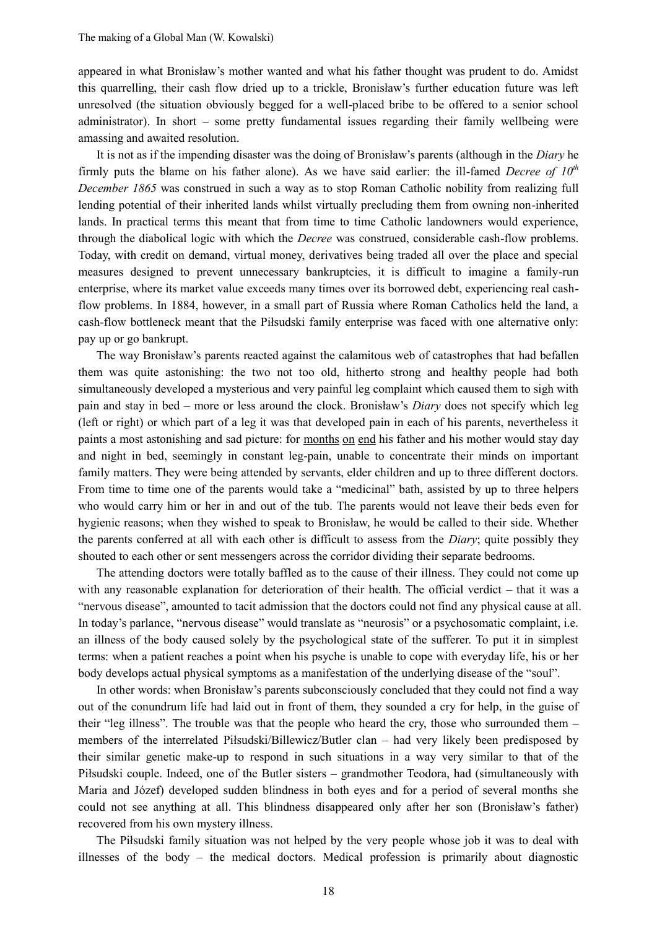appeared in what Bronisław's mother wanted and what his father thought was prudent to do. Amidst this quarrelling, their cash flow dried up to a trickle, Bronisław's further education future was left unresolved (the situation obviously begged for a well-placed bribe to be offered to a senior school administrator). In short – some pretty fundamental issues regarding their family wellbeing were amassing and awaited resolution.

It is not as if the impending disaster was the doing of Bronisław's parents (although in the *Diary* he firmly puts the blame on his father alone). As we have said earlier: the ill-famed *Decree of 10th December 1865* was construed in such a way as to stop Roman Catholic nobility from realizing full lending potential of their inherited lands whilst virtually precluding them from owning non-inherited lands. In practical terms this meant that from time to time Catholic landowners would experience, through the diabolical logic with which the *Decree* was construed, considerable cash-flow problems. Today, with credit on demand, virtual money, derivatives being traded all over the place and special measures designed to prevent unnecessary bankruptcies, it is difficult to imagine a family-run enterprise, where its market value exceeds many times over its borrowed debt, experiencing real cashflow problems. In 1884, however, in a small part of Russia where Roman Catholics held the land, a cash-flow bottleneck meant that the Piłsudski family enterprise was faced with one alternative only: pay up or go bankrupt.

The way Bronisław's parents reacted against the calamitous web of catastrophes that had befallen them was quite astonishing: the two not too old, hitherto strong and healthy people had both simultaneously developed a mysterious and very painful leg complaint which caused them to sigh with pain and stay in bed – more or less around the clock. Bronisław's *Diary* does not specify which leg (left or right) or which part of a leg it was that developed pain in each of his parents, nevertheless it paints a most astonishing and sad picture: for months on end his father and his mother would stay day and night in bed, seemingly in constant leg-pain, unable to concentrate their minds on important family matters. They were being attended by servants, elder children and up to three different doctors. From time to time one of the parents would take a "medicinal" bath, assisted by up to three helpers who would carry him or her in and out of the tub. The parents would not leave their beds even for hygienic reasons; when they wished to speak to Bronisław, he would be called to their side. Whether the parents conferred at all with each other is difficult to assess from the *Diary*; quite possibly they shouted to each other or sent messengers across the corridor dividing their separate bedrooms.

The attending doctors were totally baffled as to the cause of their illness. They could not come up with any reasonable explanation for deterioration of their health. The official verdict – that it was a "nervous disease", amounted to tacit admission that the doctors could not find any physical cause at all. In today's parlance, "nervous disease" would translate as "neurosis" or a psychosomatic complaint, i.e. an illness of the body caused solely by the psychological state of the sufferer. To put it in simplest terms: when a patient reaches a point when his psyche is unable to cope with everyday life, his or her body develops actual physical symptoms as a manifestation of the underlying disease of the "soul".

In other words: when Bronisław's parents subconsciously concluded that they could not find a way out of the conundrum life had laid out in front of them, they sounded a cry for help, in the guise of their "leg illness". The trouble was that the people who heard the cry, those who surrounded them – members of the interrelated Piłsudski/Billewicz/Butler clan – had very likely been predisposed by their similar genetic make-up to respond in such situations in a way very similar to that of the Piłsudski couple. Indeed, one of the Butler sisters – grandmother Teodora, had (simultaneously with Maria and Józef) developed sudden blindness in both eyes and for a period of several months she could not see anything at all. This blindness disappeared only after her son (Bronisław's father) recovered from his own mystery illness.

The Piłsudski family situation was not helped by the very people whose job it was to deal with illnesses of the body – the medical doctors. Medical profession is primarily about diagnostic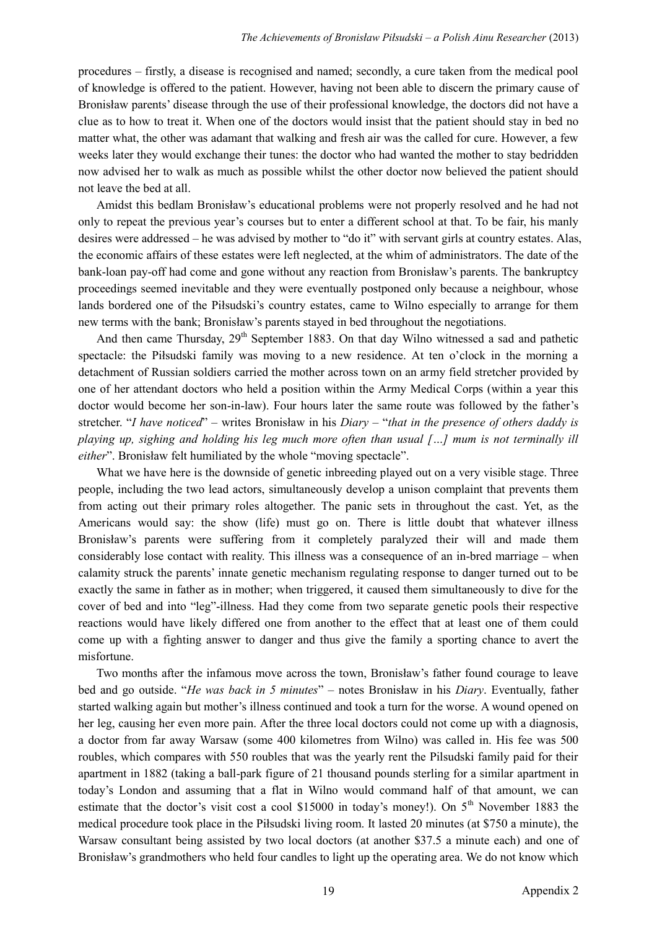procedures – firstly, a disease is recognised and named; secondly, a cure taken from the medical pool of knowledge is offered to the patient. However, having not been able to discern the primary cause of Bronisław parents' disease through the use of their professional knowledge, the doctors did not have a clue as to how to treat it. When one of the doctors would insist that the patient should stay in bed no matter what, the other was adamant that walking and fresh air was the called for cure. However, a few weeks later they would exchange their tunes: the doctor who had wanted the mother to stay bedridden now advised her to walk as much as possible whilst the other doctor now believed the patient should not leave the bed at all.

Amidst this bedlam Bronisław's educational problems were not properly resolved and he had not only to repeat the previous year's courses but to enter a different school at that. To be fair, his manly desires were addressed – he was advised by mother to "do it" with servant girls at country estates. Alas, the economic affairs of these estates were left neglected, at the whim of administrators. The date of the bank-loan pay-off had come and gone without any reaction from Bronisław's parents. The bankruptcy proceedings seemed inevitable and they were eventually postponed only because a neighbour, whose lands bordered one of the Piłsudski's country estates, came to Wilno especially to arrange for them new terms with the bank; Bronisław's parents stayed in bed throughout the negotiations.

And then came Thursday, 29<sup>th</sup> September 1883. On that day Wilno witnessed a sad and pathetic spectacle: the Piłsudski family was moving to a new residence. At ten o'clock in the morning a detachment of Russian soldiers carried the mother across town on an army field stretcher provided by one of her attendant doctors who held a position within the Army Medical Corps (within a year this doctor would become her son-in-law). Four hours later the same route was followed by the father's stretcher. "*I have noticed*" – writes Bronisław in his *Diary* – "*that in the presence of others daddy is playing up, sighing and holding his leg much more often than usual […] mum is not terminally ill either*". Bronisław felt humiliated by the whole "moving spectacle".

What we have here is the downside of genetic inbreeding played out on a very visible stage. Three people, including the two lead actors, simultaneously develop a unison complaint that prevents them from acting out their primary roles altogether. The panic sets in throughout the cast. Yet, as the Americans would say: the show (life) must go on. There is little doubt that whatever illness Bronisław's parents were suffering from it completely paralyzed their will and made them considerably lose contact with reality. This illness was a consequence of an in-bred marriage – when calamity struck the parents' innate genetic mechanism regulating response to danger turned out to be exactly the same in father as in mother; when triggered, it caused them simultaneously to dive for the cover of bed and into "leg"-illness. Had they come from two separate genetic pools their respective reactions would have likely differed one from another to the effect that at least one of them could come up with a fighting answer to danger and thus give the family a sporting chance to avert the misfortune.

Two months after the infamous move across the town, Bronisław's father found courage to leave bed and go outside. "*He was back in 5 minutes*" – notes Bronisław in his *Diary*. Eventually, father started walking again but mother's illness continued and took a turn for the worse. A wound opened on her leg, causing her even more pain. After the three local doctors could not come up with a diagnosis, a doctor from far away Warsaw (some 400 kilometres from Wilno) was called in. His fee was 500 roubles, which compares with 550 roubles that was the yearly rent the Pilsudski family paid for their apartment in 1882 (taking a ball-park figure of 21 thousand pounds sterling for a similar apartment in today's London and assuming that a flat in Wilno would command half of that amount, we can estimate that the doctor's visit cost a cool \$15000 in today's money!). On 5<sup>th</sup> November 1883 the medical procedure took place in the Piłsudski living room. It lasted 20 minutes (at \$750 a minute), the Warsaw consultant being assisted by two local doctors (at another \$37.5 a minute each) and one of Bronisław's grandmothers who held four candles to light up the operating area. We do not know which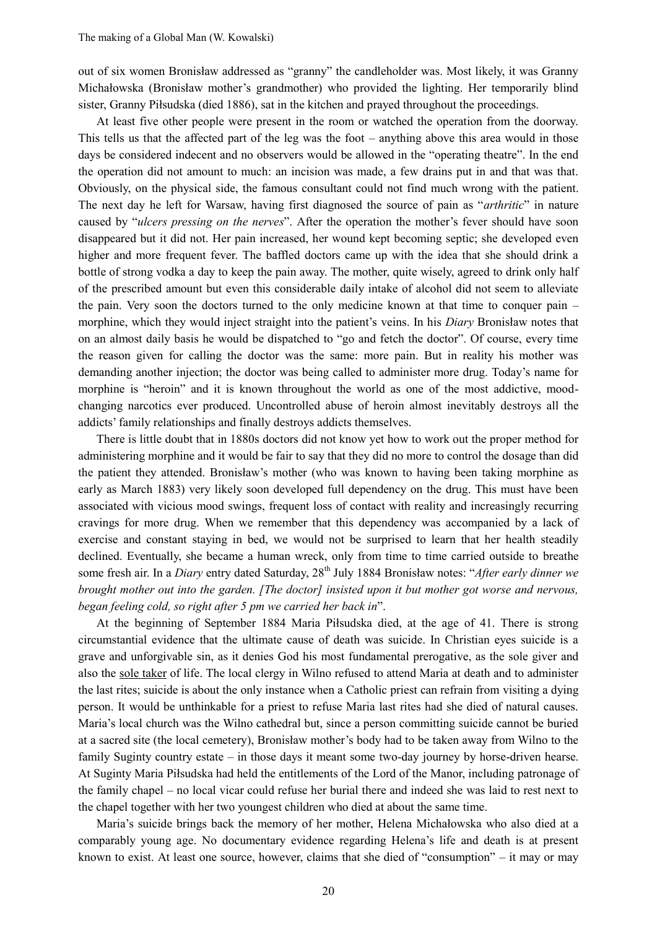out of six women Bronisław addressed as "granny" the candleholder was. Most likely, it was Granny Michałowska (Bronisław mother's grandmother) who provided the lighting. Her temporarily blind sister, Granny Piłsudska (died 1886), sat in the kitchen and prayed throughout the proceedings.

At least five other people were present in the room or watched the operation from the doorway. This tells us that the affected part of the leg was the foot – anything above this area would in those days be considered indecent and no observers would be allowed in the "operating theatre". In the end the operation did not amount to much: an incision was made, a few drains put in and that was that. Obviously, on the physical side, the famous consultant could not find much wrong with the patient. The next day he left for Warsaw, having first diagnosed the source of pain as "*arthritic*" in nature caused by "*ulcers pressing on the nerves*". After the operation the mother's fever should have soon disappeared but it did not. Her pain increased, her wound kept becoming septic; she developed even higher and more frequent fever. The baffled doctors came up with the idea that she should drink a bottle of strong vodka a day to keep the pain away. The mother, quite wisely, agreed to drink only half of the prescribed amount but even this considerable daily intake of alcohol did not seem to alleviate the pain. Very soon the doctors turned to the only medicine known at that time to conquer pain – morphine, which they would inject straight into the patient's veins. In his *Diary* Bronisław notes that on an almost daily basis he would be dispatched to "go and fetch the doctor". Of course, every time the reason given for calling the doctor was the same: more pain. But in reality his mother was demanding another injection; the doctor was being called to administer more drug. Today's name for morphine is "heroin" and it is known throughout the world as one of the most addictive, moodchanging narcotics ever produced. Uncontrolled abuse of heroin almost inevitably destroys all the addicts' family relationships and finally destroys addicts themselves.

There is little doubt that in 1880s doctors did not know yet how to work out the proper method for administering morphine and it would be fair to say that they did no more to control the dosage than did the patient they attended. Bronisław's mother (who was known to having been taking morphine as early as March 1883) very likely soon developed full dependency on the drug. This must have been associated with vicious mood swings, frequent loss of contact with reality and increasingly recurring cravings for more drug. When we remember that this dependency was accompanied by a lack of exercise and constant staying in bed, we would not be surprised to learn that her health steadily declined. Eventually, she became a human wreck, only from time to time carried outside to breathe some fresh air. In a *Diary* entry dated Saturday, 28<sup>th</sup> July 1884 Bronisław notes: "*After early dinner we brought mother out into the garden. [The doctor] insisted upon it but mother got worse and nervous, began feeling cold, so right after 5 pm we carried her back in*".

At the beginning of September 1884 Maria Piłsudska died, at the age of 41. There is strong circumstantial evidence that the ultimate cause of death was suicide. In Christian eyes suicide is a grave and unforgivable sin, as it denies God his most fundamental prerogative, as the sole giver and also the sole taker of life. The local clergy in Wilno refused to attend Maria at death and to administer the last rites; suicide is about the only instance when a Catholic priest can refrain from visiting a dying person. It would be unthinkable for a priest to refuse Maria last rites had she died of natural causes. Maria's local church was the Wilno cathedral but, since a person committing suicide cannot be buried at a sacred site (the local cemetery), Bronisław mother's body had to be taken away from Wilno to the family Suginty country estate – in those days it meant some two-day journey by horse-driven hearse. At Suginty Maria Piłsudska had held the entitlements of the Lord of the Manor, including patronage of the family chapel – no local vicar could refuse her burial there and indeed she was laid to rest next to the chapel together with her two youngest children who died at about the same time.

Maria's suicide brings back the memory of her mother, Helena Michałowska who also died at a comparably young age. No documentary evidence regarding Helena's life and death is at present known to exist. At least one source, however, claims that she died of "consumption" – it may or may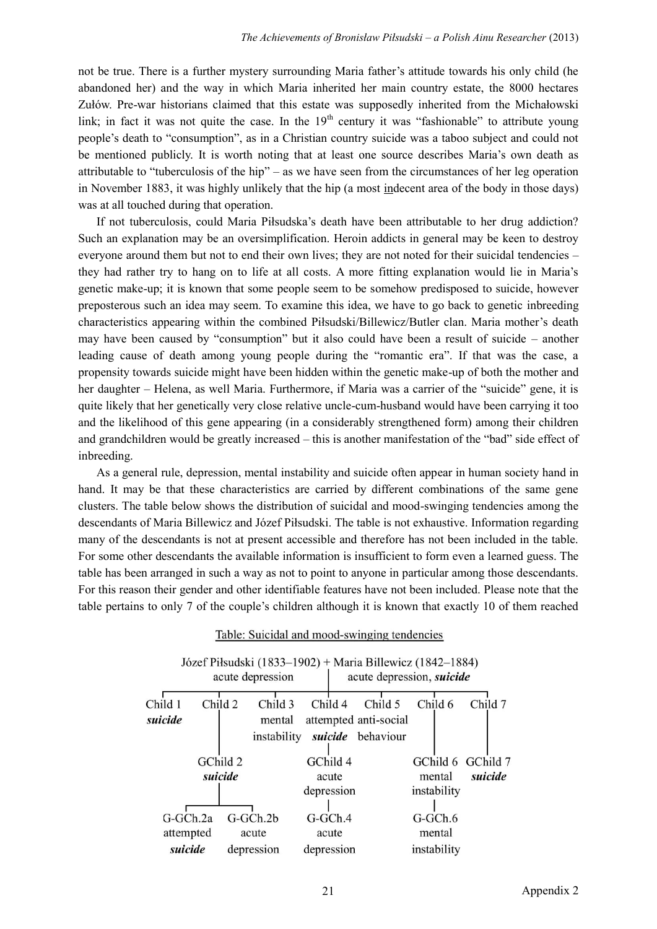not be true. There is a further mystery surrounding Maria father's attitude towards his only child (he abandoned her) and the way in which Maria inherited her main country estate, the 8000 hectares Zułów. Pre-war historians claimed that this estate was supposedly inherited from the Michałowski link; in fact it was not quite the case. In the  $19<sup>th</sup>$  century it was "fashionable" to attribute young people's death to "consumption", as in a Christian country suicide was a taboo subject and could not be mentioned publicly. It is worth noting that at least one source describes Maria's own death as attributable to "tuberculosis of the hip" – as we have seen from the circumstances of her leg operation in November 1883, it was highly unlikely that the hip (a most indecent area of the body in those days) was at all touched during that operation.

If not tuberculosis, could Maria Piłsudska's death have been attributable to her drug addiction? Such an explanation may be an oversimplification. Heroin addicts in general may be keen to destroy everyone around them but not to end their own lives; they are not noted for their suicidal tendencies – they had rather try to hang on to life at all costs. A more fitting explanation would lie in Maria's genetic make-up; it is known that some people seem to be somehow predisposed to suicide, however preposterous such an idea may seem. To examine this idea, we have to go back to genetic inbreeding characteristics appearing within the combined Piłsudski/Billewicz/Butler clan. Maria mother's death may have been caused by "consumption" but it also could have been a result of suicide – another leading cause of death among young people during the "romantic era". If that was the case, a propensity towards suicide might have been hidden within the genetic make-up of both the mother and her daughter – Helena, as well Maria. Furthermore, if Maria was a carrier of the "suicide" gene, it is quite likely that her genetically very close relative uncle-cum-husband would have been carrying it too and the likelihood of this gene appearing (in a considerably strengthened form) among their children and grandchildren would be greatly increased – this is another manifestation of the "bad" side effect of inbreeding.

As a general rule, depression, mental instability and suicide often appear in human society hand in hand. It may be that these characteristics are carried by different combinations of the same gene clusters. The table below shows the distribution of suicidal and mood-swinging tendencies among the descendants of Maria Billewicz and Józef Piłsudski. The table is not exhaustive. Information regarding many of the descendants is not at present accessible and therefore has not been included in the table. For some other descendants the available information is insufficient to form even a learned guess. The table has been arranged in such a way as not to point to anyone in particular among those descendants. For this reason their gender and other identifiable features have not been included. Please note that the table pertains to only 7 of the couple's children although it is known that exactly 10 of them reached

| acute depression      |            |  |             |            | Józef Piłsudski (1833–1902) + Maria Billewicz (1842–1884)<br>acute depression, <i>suicide</i> |                       |                   |  |                   |         |
|-----------------------|------------|--|-------------|------------|-----------------------------------------------------------------------------------------------|-----------------------|-------------------|--|-------------------|---------|
| Child 1               | Child 2    |  | Child 3     |            | Child 4                                                                                       |                       | Child 5           |  | Child 6           | Child 7 |
| suicide               |            |  | mental      |            |                                                                                               | attempted anti-social |                   |  |                   |         |
|                       |            |  | instability |            |                                                                                               | suicide behaviour     |                   |  |                   |         |
|                       |            |  |             |            |                                                                                               |                       |                   |  |                   |         |
| GChild 2              |            |  |             | GChild 4   |                                                                                               |                       |                   |  | GChild 6 GChild 7 |         |
| suicide               |            |  | acute       |            |                                                                                               |                       | suicide<br>mental |  |                   |         |
|                       |            |  |             | depression |                                                                                               |                       |                   |  | instability       |         |
|                       |            |  |             |            |                                                                                               |                       |                   |  |                   |         |
|                       | $G-GCh.2a$ |  | $G-GCh.2b$  |            | $G-GCh.4$                                                                                     |                       |                   |  | $G-GCh.6$         |         |
|                       | attempted  |  | acute       |            | acute                                                                                         |                       |                   |  | mental            |         |
| suicide<br>depression |            |  | depression  |            |                                                                                               |                       | instability       |  |                   |         |

Table: Suicidal and mood-swinging tendencies